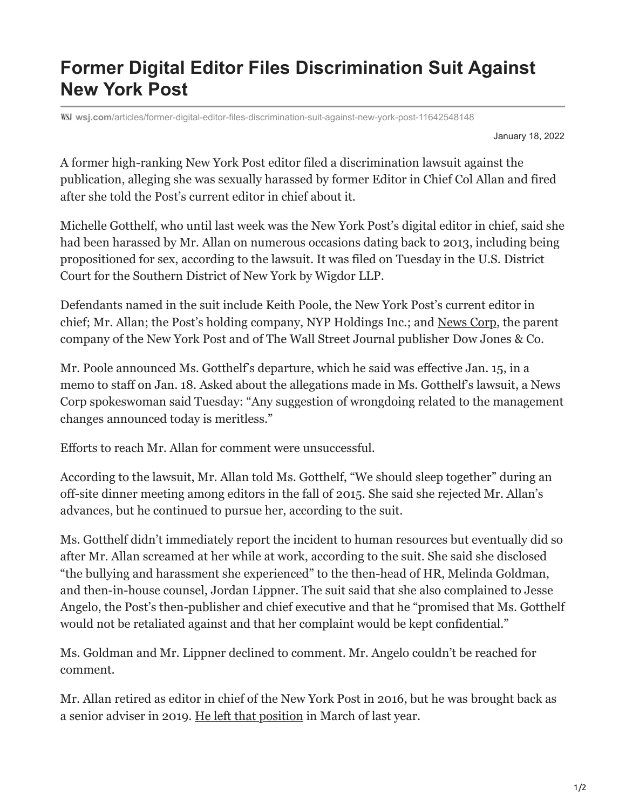## **Former Digital Editor Files Discrimination Suit Against New York Post**

**wsj.com**[/articles/former-digital-editor-files-discrimination-suit-against-new-york-post-11642548148](https://www.wsj.com/articles/former-digital-editor-files-discrimination-suit-against-new-york-post-11642548148)

January 18, 2022

A former high-ranking New York Post editor filed a discrimination lawsuit against the publication, alleging she was sexually harassed by former Editor in Chief Col Allan and fired after she told the Post's current editor in chief about it.

Michelle Gotthelf, who until last week was the New York Post's digital editor in chief, said she had been harassed by Mr. Allan on numerous occasions dating back to 2013, including being propositioned for sex, according to the lawsuit. It was filed on Tuesday in the U.S. District Court for the Southern District of New York by Wigdor LLP.

Defendants named in the suit include Keith Poole, the New York Post's current editor in chief; Mr. Allan; the Post's holding company, NYP Holdings Inc.; and [News Corp,](https://www.wsj.com/market-data/quotes/NWS) the parent company of the New York Post and of The Wall Street Journal publisher Dow Jones & Co.

Mr. Poole announced Ms. Gotthelf's departure, which he said was effective Jan. 15, in a memo to staff on Jan. 18. Asked about the allegations made in Ms. Gotthelf's lawsuit, a News Corp spokeswoman said Tuesday: "Any suggestion of wrongdoing related to the management changes announced today is meritless."

Efforts to reach Mr. Allan for comment were unsuccessful.

According to the lawsuit, Mr. Allan told Ms. Gotthelf, "We should sleep together" during an off-site dinner meeting among editors in the fall of 2015. She said she rejected Mr. Allan's advances, but he continued to pursue her, according to the suit.

Ms. Gotthelf didn't immediately report the incident to human resources but eventually did so after Mr. Allan screamed at her while at work, according to the suit. She said she disclosed "the bullying and harassment she experienced" to the then-head of HR, Melinda Goldman, and then-in-house counsel, Jordan Lippner. The suit said that she also complained to Jesse Angelo, the Post's then-publisher and chief executive and that he "promised that Ms. Gotthelf would not be retaliated against and that her complaint would be kept confidential."

Ms. Goldman and Mr. Lippner declined to comment. Mr. Angelo couldn't be reached for comment.

Mr. Allan retired as editor in chief of the New York Post in 2016, but he was brought back as a senior adviser in 2019. [He left that position](https://www.wsj.com/articles/british-tabloid-veteran-keith-poole-tapped-to-lead-new-york-post-11609872318?mod=article_inline) in March of last year.